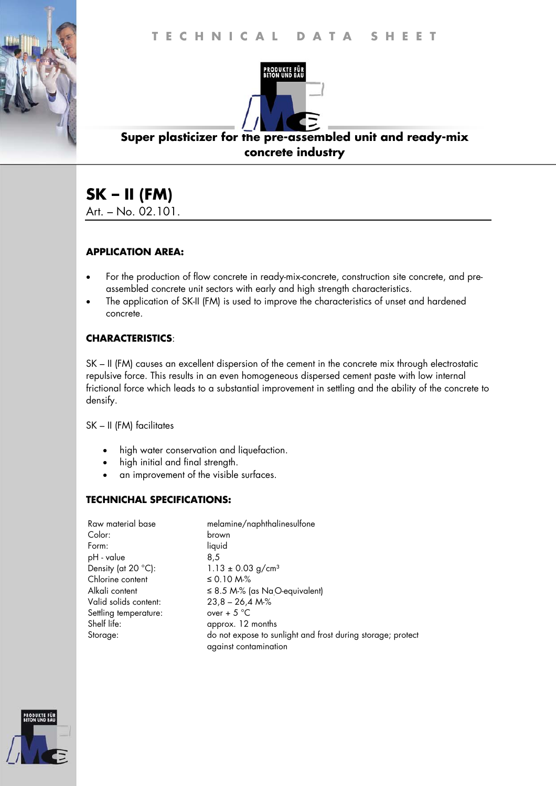

## **Super plasticizer for the pre-assembled unit and ready-mix concrete industry**

# **SK – II (FM)**

Art. – No. 02.101.

#### **APPLICATION AREA:**

- For the production of flow concrete in ready-mix-concrete, construction site concrete, and preassembled concrete unit sectors with early and high strength characteristics.
- The application of SK-II (FM) is used to improve the characteristics of unset and hardened concrete.

#### **CHARACTERISTICS**:

SK – II (FM) causes an excellent dispersion of the cement in the concrete mix through electrostatic repulsive force. This results in an even homogeneous dispersed cement paste with low internal frictional force which leads to a substantial improvement in settling and the ability of the concrete to densify.

SK – II (FM) facilitates

- high water conservation and liquefaction.
- high initial and final strength.
- an improvement of the visible surfaces.

#### **TECHNICHAL SPECIFICATIONS:**

| Raw material base     | melamine/naphthalinesulfone                                                          |
|-----------------------|--------------------------------------------------------------------------------------|
| Color:                | brown                                                                                |
| Form:                 | liquid                                                                               |
| pH - value            | 8.5                                                                                  |
| Density (at 20 °C):   | $1.13 \pm 0.03$ g/cm <sup>3</sup>                                                    |
| Chlorine content      | ≤ 0.10 M-%                                                                           |
| Alkali content        | $\leq$ 8.5 M-% (as Na <sub>.</sub> O-equivalent)                                     |
| Valid solids content: | $23,8 - 26,4 M\%$                                                                    |
| Settling temperature: | over + $5^{\circ}$ C                                                                 |
| Shelf life:           | approx. 12 months                                                                    |
| Storage:              | do not expose to sunlight and frost during storage; protect<br>against contamination |